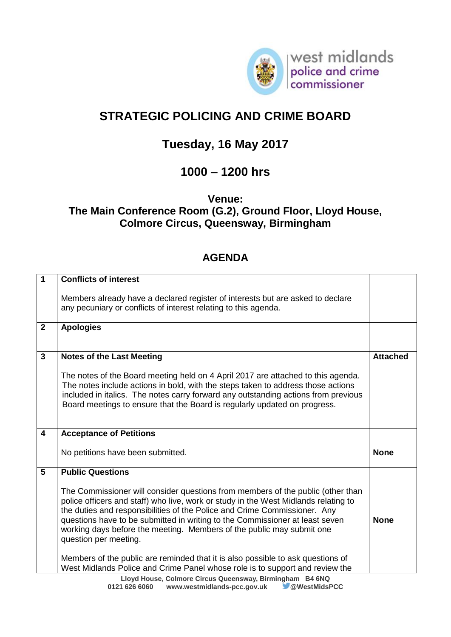

west midlands police and crime<br>commissioner

# **STRATEGIC POLICING AND CRIME BOARD**

## **Tuesday, 16 May 2017**

### **1000 – 1200 hrs**

**Venue:** 

#### **The Main Conference Room (G.2), Ground Floor, Lloyd House, Colmore Circus, Queensway, Birmingham**

#### **AGENDA**

| 1                       | <b>Conflicts of interest</b>                                                                                                                                                                                                                                                                                                                                                                                                          |                 |
|-------------------------|---------------------------------------------------------------------------------------------------------------------------------------------------------------------------------------------------------------------------------------------------------------------------------------------------------------------------------------------------------------------------------------------------------------------------------------|-----------------|
|                         | Members already have a declared register of interests but are asked to declare<br>any pecuniary or conflicts of interest relating to this agenda.                                                                                                                                                                                                                                                                                     |                 |
| $\mathbf{2}$            | <b>Apologies</b>                                                                                                                                                                                                                                                                                                                                                                                                                      |                 |
| 3                       | <b>Notes of the Last Meeting</b>                                                                                                                                                                                                                                                                                                                                                                                                      | <b>Attached</b> |
|                         | The notes of the Board meeting held on 4 April 2017 are attached to this agenda.<br>The notes include actions in bold, with the steps taken to address those actions<br>included in italics. The notes carry forward any outstanding actions from previous<br>Board meetings to ensure that the Board is regularly updated on progress.                                                                                               |                 |
| $\overline{\mathbf{4}}$ | <b>Acceptance of Petitions</b>                                                                                                                                                                                                                                                                                                                                                                                                        |                 |
|                         | No petitions have been submitted.                                                                                                                                                                                                                                                                                                                                                                                                     | <b>None</b>     |
| 5                       | <b>Public Questions</b>                                                                                                                                                                                                                                                                                                                                                                                                               |                 |
|                         | The Commissioner will consider questions from members of the public (other than<br>police officers and staff) who live, work or study in the West Midlands relating to<br>the duties and responsibilities of the Police and Crime Commissioner. Any<br>questions have to be submitted in writing to the Commissioner at least seven<br>working days before the meeting. Members of the public may submit one<br>question per meeting. | <b>None</b>     |
|                         | Members of the public are reminded that it is also possible to ask questions of<br>West Midlands Police and Crime Panel whose role is to support and review the<br>Lloyd House, Colmore Circus Queensway, Birmingham B4 6NQ                                                                                                                                                                                                           |                 |